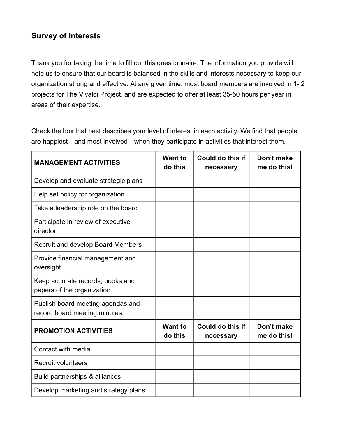## **Survey of Interests**

Thank you for taking the time to fill out this questionnaire. The information you provide will help us to ensure that our board is balanced in the skills and interests necessary to keep our organization strong and effective. At any given time, most board members are involved in 1- 2 projects for The Vivaldi Project, and are expected to offer at least 35-50 hours per year in areas of their expertise.

Check the box that best describes your level of interest in each activity. We find that people are happiest―and most involved―when they participate in activities that interest them.

| <b>MANAGEMENT ACTIVITIES</b>                                      | <b>Want to</b><br>do this | Could do this if<br>necessary | Don't make<br>me do this! |
|-------------------------------------------------------------------|---------------------------|-------------------------------|---------------------------|
| Develop and evaluate strategic plans                              |                           |                               |                           |
| Help set policy for organization                                  |                           |                               |                           |
| Take a leadership role on the board                               |                           |                               |                           |
| Participate in review of executive<br>director                    |                           |                               |                           |
| <b>Recruit and develop Board Members</b>                          |                           |                               |                           |
| Provide financial management and<br>oversight                     |                           |                               |                           |
| Keep accurate records, books and<br>papers of the organization.   |                           |                               |                           |
| Publish board meeting agendas and<br>record board meeting minutes |                           |                               |                           |
| <b>PROMOTION ACTIVITIES</b>                                       | <b>Want to</b><br>do this | Could do this if<br>necessary | Don't make<br>me do this! |
| Contact with media                                                |                           |                               |                           |
| <b>Recruit volunteers</b>                                         |                           |                               |                           |
| Build partnerships & alliances                                    |                           |                               |                           |
| Develop marketing and strategy plans                              |                           |                               |                           |